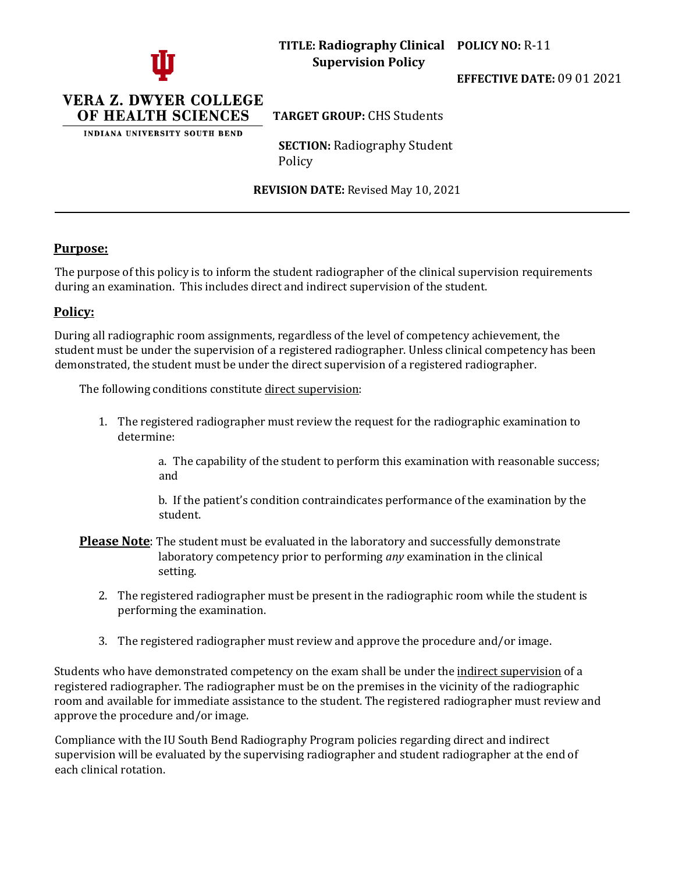

**TITLE: Radiography Clinical POLICY NO:** R-11 **Supervision Policy**

**EFFECTIVE DATE:** 09 01 2021



INDIANA UNIVERSITY SOUTH BEND

**TARGET GROUP:** CHS Students

**SECTION:** Radiography Student Policy

**REVISION DATE:** Revised May 10, 2021

## **Purpose:**

The purpose of this policy is to inform the student radiographer of the clinical supervision requirements during an examination. This includes direct and indirect supervision of the student.

## **Policy:**

During all radiographic room assignments, regardless of the level of competency achievement, the student must be under the supervision of a registered radiographer. Unless clinical competency has been demonstrated, the student must be under the direct supervision of a registered radiographer.

The following conditions constitute direct supervision:

1. The registered radiographer must review the request for the radiographic examination to determine:

> a. The capability of the student to perform this examination with reasonable success; and

b. If the patient's condition contraindicates performance of the examination by the student.

- **Please Note**: The student must be evaluated in the laboratory and successfully demonstrate laboratory competency prior to performing *any* examination in the clinical setting.
	- 2. The registered radiographer must be present in the radiographic room while the student is performing the examination.
	- 3. The registered radiographer must review and approve the procedure and/or image.

Students who have demonstrated competency on the exam shall be under the indirect supervision of a registered radiographer. The radiographer must be on the premises in the vicinity of the radiographic room and available for immediate assistance to the student. The registered radiographer must review and approve the procedure and/or image.

Compliance with the IU South Bend Radiography Program policies regarding direct and indirect supervision will be evaluated by the supervising radiographer and student radiographer at the end of each clinical rotation.